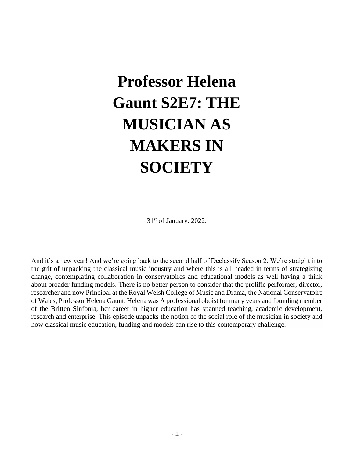# **Professor Helena Gaunt S2E7: THE MUSICIAN AS MAKERS IN SOCIETY**

31st of January. 2022.

And it's a new year! And we're going back to the second half of Declassify Season 2. We're straight into the grit of unpacking the classical music industry and where this is all headed in terms of strategizing change, contemplating collaboration in conservatoires and educational models as well having a think about broader funding models. There is no better person to consider that the prolific performer, director, researcher and now Principal at the Royal Welsh College of Music and Drama, the National Conservatoire of Wales, Professor Helena Gaunt. Helena was A professional oboist for many years and founding member of the Britten Sinfonia, her career in higher education has spanned teaching, academic development, research and enterprise. This episode unpacks the notion of the social role of the musician in society and how classical music education, funding and models can rise to this contemporary challenge.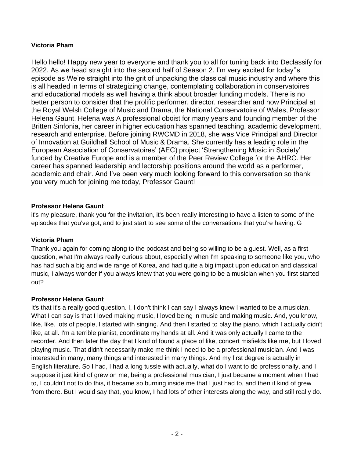## **Victoria Pham**

Hello hello! Happy new year to everyone and thank you to all for tuning back into Declassify for 2022. As we head straight into the second half of Season 2. I'm very excited for today''s episode as We're straight into the grit of unpacking the classical music industry and where this is all headed in terms of strategizing change, contemplating collaboration in conservatoires and educational models as well having a think about broader funding models. There is no better person to consider that the prolific performer, director, researcher and now Principal at the Royal Welsh College of Music and Drama, the National Conservatoire of Wales, Professor Helena Gaunt. Helena was A professional oboist for many years and founding member of the Britten Sinfonia, her career in higher education has spanned teaching, academic development, research and enterprise. Before joining RWCMD in 2018, she was Vice Principal and Director of Innovation at Guildhall School of Music & Drama. She currently has a leading role in the European Association of Conservatoires' (AEC) project 'Strengthening Music in Society' funded by Creative Europe and is a member of the Peer Review College for the AHRC. Her career has spanned leadership and lectorship positions around the world as a performer, academic and chair. And I've been very much looking forward to this conversation so thank you very much for joining me today, Professor Gaunt!

#### **Professor Helena Gaunt**

it's my pleasure, thank you for the invitation, it's been really interesting to have a listen to some of the episodes that you've got, and to just start to see some of the conversations that you're having. G

#### **Victoria Pham**

Thank you again for coming along to the podcast and being so willing to be a guest. Well, as a first question, what I'm always really curious about, especially when I'm speaking to someone like you, who has had such a big and wide range of Korea, and had quite a big impact upon education and classical music, I always wonder if you always knew that you were going to be a musician when you first started out?

## **Professor Helena Gaunt**

It's that it's a really good question. I, I don't think I can say I always knew I wanted to be a musician. What I can say is that I loved making music, I loved being in music and making music. And, you know, like, like, lots of people, I started with singing. And then I started to play the piano, which I actually didn't like, at all. I'm a terrible pianist, coordinate my hands at all. And it was only actually I came to the recorder. And then later the day that I kind of found a place of like, concert misfields like me, but I loved playing music. That didn't necessarily make me think I need to be a professional musician. And I was interested in many, many things and interested in many things. And my first degree is actually in English literature. So I had, I had a long tussle with actually, what do I want to do professionally, and I suppose it just kind of grew on me, being a professional musician, I just became a moment when I had to, I couldn't not to do this, it became so burning inside me that I just had to, and then it kind of grew from there. But I would say that, you know, I had lots of other interests along the way, and still really do.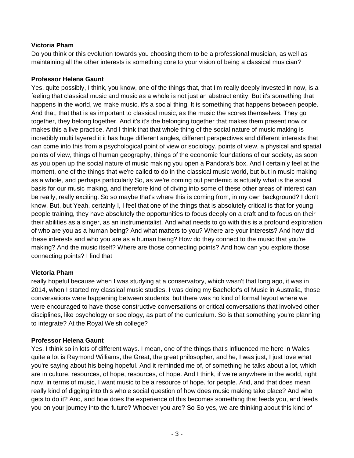## **Victoria Pham**

Do you think or this evolution towards you choosing them to be a professional musician, as well as maintaining all the other interests is something core to your vision of being a classical musician?

## **Professor Helena Gaunt**

Yes, quite possibly, I think, you know, one of the things that, that I'm really deeply invested in now, is a feeling that classical music and music as a whole is not just an abstract entity. But it's something that happens in the world, we make music, it's a social thing. It is something that happens between people. And that, that that is as important to classical music, as the music the scores themselves. They go together, they belong together. And it's it's the belonging together that makes them present now or makes this a live practice. And I think that that whole thing of the social nature of music making is incredibly multi layered it it has huge different angles, different perspectives and different interests that can come into this from a psychological point of view or sociology. points of view, a physical and spatial points of view, things of human geography, things of the economic foundations of our society, as soon as you open up the social nature of music making you open a Pandora's box. And I certainly feel at the moment, one of the things that we're called to do in the classical music world, but but in music making as a whole, and perhaps particularly So, as we're coming out pandemic is actually what is the social basis for our music making, and therefore kind of diving into some of these other areas of interest can be really, really exciting. So so maybe that's where this is coming from, in my own background? I don't know. But, but Yeah, certainly I, I feel that one of the things that is absolutely critical is that for young people training, they have absolutely the opportunities to focus deeply on a craft and to focus on their their abilities as a singer, as an instrumentalist. And what needs to go with this is a profound exploration of who are you as a human being? And what matters to you? Where are your interests? And how did these interests and who you are as a human being? How do they connect to the music that you're making? And the music itself? Where are those connecting points? And how can you explore those connecting points? I find that

## **Victoria Pham**

really hopeful because when I was studying at a conservatory, which wasn't that long ago, it was in 2014, when I started my classical music studies, I was doing my Bachelor's of Music in Australia, those conversations were happening between students, but there was no kind of formal layout where we were encouraged to have those constructive conversations or critical conversations that involved other disciplines, like psychology or sociology, as part of the curriculum. So is that something you're planning to integrate? At the Royal Welsh college?

## **Professor Helena Gaunt**

Yes, I think so in lots of different ways. I mean, one of the things that's influenced me here in Wales quite a lot is Raymond Williams, the Great, the great philosopher, and he, I was just, I just love what you're saying about his being hopeful. And it reminded me of, of something he talks about a lot, which are in culture, resources, of hope, resources, of hope. And I think, if we're anywhere in the world, right now, in terms of music, I want music to be a resource of hope, for people. And, and that does mean really kind of digging into this whole social question of how does music making take place? And who gets to do it? And, and how does the experience of this becomes something that feeds you, and feeds you on your journey into the future? Whoever you are? So So yes, we are thinking about this kind of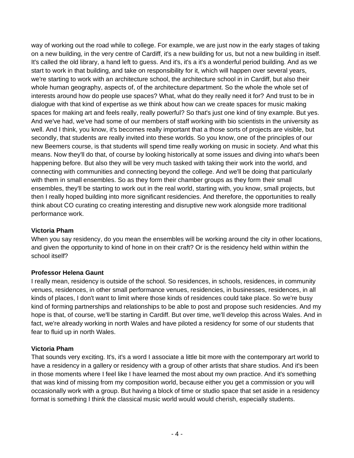way of working out the road while to college. For example, we are just now in the early stages of taking on a new building, in the very centre of Cardiff, it's a new building for us, but not a new building in itself. It's called the old library, a hand left to guess. And it's, it's a it's a wonderful period building. And as we start to work in that building, and take on responsibility for it, which will happen over several years, we're starting to work with an architecture school, the architecture school in in Cardiff, but also their whole human geography, aspects of, of the architecture department. So the whole the whole set of interests around how do people use spaces? What, what do they really need it for? And trust to be in dialogue with that kind of expertise as we think about how can we create spaces for music making spaces for making art and feels really, really powerful? So that's just one kind of tiny example. But yes. And we've had, we've had some of our members of staff working with bio scientists in the university as well. And I think, you know, it's becomes really important that a those sorts of projects are visible, but secondly, that students are really invited into these worlds. So you know, one of the principles of our new Beemers course, is that students will spend time really working on music in society. And what this means. Now they'll do that, of course by looking historically at some issues and diving into what's been happening before. But also they will be very much tasked with taking their work into the world, and connecting with communities and connecting beyond the college. And we'll be doing that particularly with them in small ensembles. So as they form their chamber groups as they form their small ensembles, they'll be starting to work out in the real world, starting with, you know, small projects, but then I really hoped building into more significant residencies. And therefore, the opportunities to really think about CO curating co creating interesting and disruptive new work alongside more traditional performance work.

#### **Victoria Pham**

When you say residency, do you mean the ensembles will be working around the city in other locations, and given the opportunity to kind of hone in on their craft? Or is the residency held within within the school itself?

#### **Professor Helena Gaunt**

I really mean, residency is outside of the school. So residences, in schools, residences, in community venues, residences, in other small performance venues, residencies, in businesses, residences, in all kinds of places, I don't want to limit where those kinds of residences could take place. So we're busy kind of forming partnerships and relationships to be able to post and propose such residencies. And my hope is that, of course, we'll be starting in Cardiff. But over time, we'll develop this across Wales. And in fact, we're already working in north Wales and have piloted a residency for some of our students that fear to fluid up in north Wales.

#### **Victoria Pham**

That sounds very exciting. It's, it's a word I associate a little bit more with the contemporary art world to have a residency in a gallery or residency with a group of other artists that share studios. And it's been in those moments where I feel like I have learned the most about my own practice. And it's something that was kind of missing from my composition world, because either you get a commission or you will occasionally work with a group. But having a block of time or studio space that set aside in a residency format is something I think the classical music world would would cherish, especially students.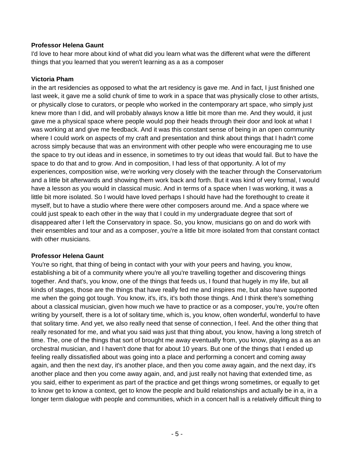#### **Professor Helena Gaunt**

I'd love to hear more about kind of what did you learn what was the different what were the different things that you learned that you weren't learning as a as a composer

#### **Victoria Pham**

in the art residencies as opposed to what the art residency is gave me. And in fact, I just finished one last week, it gave me a solid chunk of time to work in a space that was physically close to other artists, or physically close to curators, or people who worked in the contemporary art space, who simply just knew more than I did, and will probably always know a little bit more than me. And they would, it just gave me a physical space where people would pop their heads through their door and look at what I was working at and give me feedback. And it was this constant sense of being in an open community where I could work on aspects of my craft and presentation and think about things that I hadn't come across simply because that was an environment with other people who were encouraging me to use the space to try out ideas and in essence, in sometimes to try out ideas that would fail. But to have the space to do that and to grow. And in composition, I had less of that opportunity. A lot of my experiences, composition wise, we're working very closely with the teacher through the Conservatorium and a little bit afterwards and showing them work back and forth. But it was kind of very formal, I would have a lesson as you would in classical music. And in terms of a space when I was working, it was a little bit more isolated. So I would have loved perhaps I should have had the forethought to create it myself, but to have a studio where there were other composers around me. And a space where we could just speak to each other in the way that I could in my undergraduate degree that sort of disappeared after I left the Conservatory in space. So, you know, musicians go on and do work with their ensembles and tour and as a composer, you're a little bit more isolated from that constant contact with other musicians.

#### **Professor Helena Gaunt**

You're so right, that thing of being in contact with your with your peers and having, you know, establishing a bit of a community where you're all you're travelling together and discovering things together. And that's, you know, one of the things that feeds us, I found that hugely in my life, but all kinds of stages, those are the things that have really fed me and inspires me, but also have supported me when the going got tough. You know, it's, it's, it's both those things. And I think there's something about a classical musician, given how much we have to practice or as a composer, you're, you're often writing by yourself, there is a lot of solitary time, which is, you know, often wonderful, wonderful to have that solitary time. And yet, we also really need that sense of connection, I feel. And the other thing that really resonated for me, and what you said was just that thing about, you know, having a long stretch of time. The, one of the things that sort of brought me away eventually from, you know, playing as a as an orchestral musician, and I haven't done that for about 10 years. But one of the things that I ended up feeling really dissatisfied about was going into a place and performing a concert and coming away again, and then the next day, it's another place, and then you come away again, and the next day, it's another place and then you come away again, and, and just really not having that extended time, as you said, either to experiment as part of the practice and get things wrong sometimes, or equally to get to know get to know a context, get to know the people and build relationships and actually be in a, in a longer term dialogue with people and communities, which in a concert hall is a relatively difficult thing to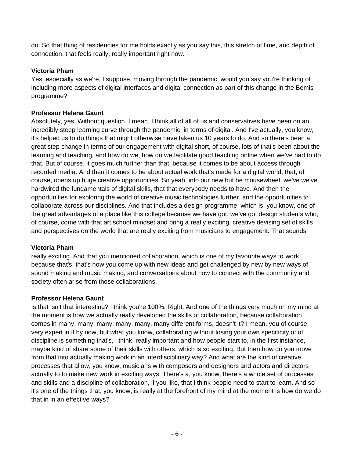do. So that thing of residencies for me holds exactly as you say this, this stretch of time, and depth of connection, that feels really, really important right now.

#### **Victoria Pham**

Yes, especially as we're, I suppose, moving through the pandemic, would you say you're thinking of including more aspects of digital interfaces and digital connection as part of this change in the Bemis programme?

#### **Professor Helena Gaunt**

Absolutely, yes. Without question. I mean, I think all of all of us and conservatives have been on an incredibly steep learning curve through the pandemic, in terms of digital. And I've actually, you know, it's helped us to do things that might otherwise have taken us 10 years to do. And so there's been a great step change in terms of our engagement with digital short, of course, lots of that's been about the learning and teaching, and how do we, how do we facilitate good teaching online when we've had to do that. But of course, it goes much further than that, because it comes to be about access through recorded media. And then it comes to be about actual work that's made for a digital world, that, of course, opens up huge creative opportunities. So yeah, into our new but be mousewheel, we've we've hardwired the fundamentals of digital skills, that that everybody needs to have. And then the opportunities for exploring the world of creative music technologies further, and the opportunities to collaborate across our disciplines. And that includes a design programme, which is, you know, one of the great advantages of a place like this college because we have got, we've got design students who, of course, come with that art school mindset and bring a really exciting, creative devising set of skills and perspectives on the world that are really exciting from musicians to engagement. That sounds

#### **Victoria Pham**

really exciting. And that you mentioned collaboration, which is one of my favourite ways to work, because that's, that's how you come up with new ideas and get challenged by new by new ways of sound making and music making, and conversations about how to connect with the community and society often arise from those collaborations.

#### **Professor Helena Gaunt**

Is that isn't that interesting? I think you're 100%. Right. And one of the things very much on my mind at the moment is how we actually really developed the skills of collaboration, because collaboration comes in many, many, many, many, many, many different forms, doesn't it? I mean, you of course, very expert in it by now, but what you know, collaborating without losing your own specificity of of discipline is something that's, I think, really important and how people start to, in the first instance, maybe kind of share some of their skills with others, which is so exciting. But then how do you move from that into actually making work in an interdisciplinary way? And what are the kind of creative processes that allow, you know, musicians with composers and designers and actors and directors actually to to make new work in exciting ways. There's a, you know, there's a whole set of processes and skills and a discipline of collaboration, if you like, that I think people need to start to learn. And so it's one of the things that, you know, is really at the forefront of my mind at the moment is how do we do that in in an effective ways?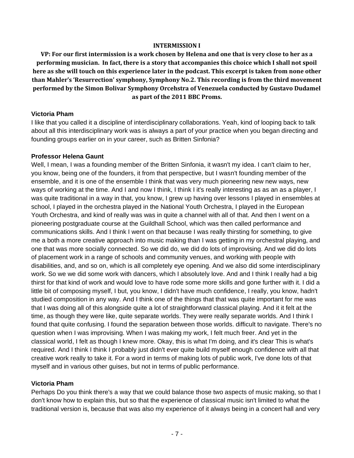#### **INTERMISSION I**

**VP: For our first intermission is a work chosen by Helena and one that is very close to her as a performing musician. In fact, there is a story that accompanies this choice which I shall not spoil here as she will touch on this experience later in the podcast. This excerpt is taken from none other than Mahler's 'Resurrection' symphony, Symphony No.2. This recording is from the third movement performed by the Simon Bolivar Symphony Orcehstra of Venezuela conducted by Gustavo Dudamel as part of the 2011 BBC Proms.** 

#### **Victoria Pham**

I like that you called it a discipline of interdisciplinary collaborations. Yeah, kind of looping back to talk about all this interdisciplinary work was is always a part of your practice when you began directing and founding groups earlier on in your career, such as Britten Sinfonia?

#### **Professor Helena Gaunt**

Well, I mean, I was a founding member of the Britten Sinfonia, it wasn't my idea. I can't claim to her, you know, being one of the founders, it from that perspective, but I wasn't founding member of the ensemble, and it is one of the ensemble I think that was very much pioneering new new ways, new ways of working at the time. And I and now I think, I think I it's really interesting as as an as a player, I was quite traditional in a way in that, you know, I grew up having over lessons I played in ensembles at school, I played in the orchestra played in the National Youth Orchestra, I played in the European Youth Orchestra, and kind of really was was in quite a channel with all of that. And then I went on a pioneering postgraduate course at the Guildhall School, which was then called performance and communications skills. And I think I went on that because I was really thirsting for something, to give me a both a more creative approach into music making than I was getting in my orchestral playing, and one that was more socially connected. So we did do, we did do lots of improvising. And we did do lots of placement work in a range of schools and community venues, and working with people with disabilities, and, and so on, which is all completely eye opening. And we also did some interdisciplinary work. So we we did some work with dancers, which I absolutely love. And and I think I really had a big thirst for that kind of work and would love to have rode some more skills and gone further with it. I did a little bit of composing myself, I but, you know, I didn't have much confidence, I really, you know, hadn't studied composition in any way. And I think one of the things that that was quite important for me was that I was doing all of this alongside quite a lot of straightforward classical playing. And it it felt at the time, as though they were like, quite separate worlds. They were really separate worlds. And I think I found that quite confusing. I found the separation between those worlds. difficult to navigate. There's no question when I was improvising. When I was making my work, I felt much freer. And yet in the classical world, I felt as though I knew more. Okay, this is what I'm doing, and it's clear This is what's required. And I think I think I probably just didn't ever quite build myself enough confidence with all that creative work really to take it. For a word in terms of making lots of public work, I've done lots of that myself and in various other guises, but not in terms of public performance.

#### **Victoria Pham**

Perhaps Do you think there's a way that we could balance those two aspects of music making, so that I don't know how to explain this, but so that the experience of classical music isn't limited to what the traditional version is, because that was also my experience of it always being in a concert hall and very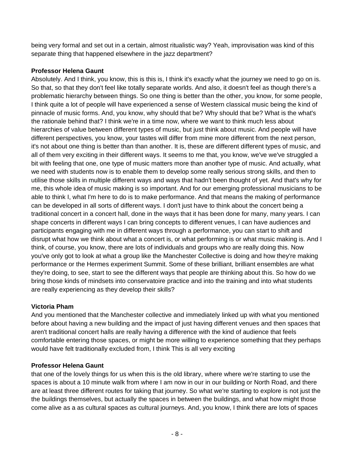being very formal and set out in a certain, almost ritualistic way? Yeah, improvisation was kind of this separate thing that happened elsewhere in the jazz department?

## **Professor Helena Gaunt**

Absolutely. And I think, you know, this is this is, I think it's exactly what the journey we need to go on is. So that, so that they don't feel like totally separate worlds. And also, it doesn't feel as though there's a problematic hierarchy between things. So one thing is better than the other, you know, for some people, I think quite a lot of people will have experienced a sense of Western classical music being the kind of pinnacle of music forms. And, you know, why should that be? Why should that be? What is the what's the rationale behind that? I think we're in a time now, where we want to think much less about hierarchies of value between different types of music, but just think about music. And people will have different perspectives, you know, your tastes will differ from mine more different from the next person, it's not about one thing is better than than another. It is, these are different different types of music, and all of them very exciting in their different ways. It seems to me that, you know, we've we've struggled a bit with feeling that one, one type of music matters more than another type of music. And actually, what we need with students now is to enable them to develop some really serious strong skills, and then to utilise those skills in multiple different ways and ways that hadn't been thought of yet. And that's why for me, this whole idea of music making is so important. And for our emerging professional musicians to be able to think I, what I'm here to do is to make performance. And that means the making of performance can be developed in all sorts of different ways. I don't just have to think about the concert being a traditional concert in a concert hall, done in the ways that it has been done for many, many years. I can shape concerts in different ways I can bring concepts to different venues, I can have audiences and participants engaging with me in different ways through a performance, you can start to shift and disrupt what how we think about what a concert is, or what performing is or what music making is. And I think, of course, you know, there are lots of individuals and groups who are really doing this. Now you've only got to look at what a group like the Manchester Collective is doing and how they're making performance or the Hermes experiment Summit. Some of these brilliant, brilliant ensembles are what they're doing, to see, start to see the different ways that people are thinking about this. So how do we bring those kinds of mindsets into conservatoire practice and into the training and into what students are really experiencing as they develop their skills?

#### **Victoria Pham**

And you mentioned that the Manchester collective and immediately linked up with what you mentioned before about having a new building and the impact of just having different venues and then spaces that aren't traditional concert halls are really having a difference with the kind of audience that feels comfortable entering those spaces, or might be more willing to experience something that they perhaps would have felt traditionally excluded from, I think This is all very exciting

#### **Professor Helena Gaunt**

that one of the lovely things for us when this is the old library, where where we're starting to use the spaces is about a 10 minute walk from where I am now in our in our building or North Road, and there are at least three different routes for taking that journey. So what we're starting to explore is not just the the buildings themselves, but actually the spaces in between the buildings, and what how might those come alive as a as cultural spaces as cultural journeys. And, you know, I think there are lots of spaces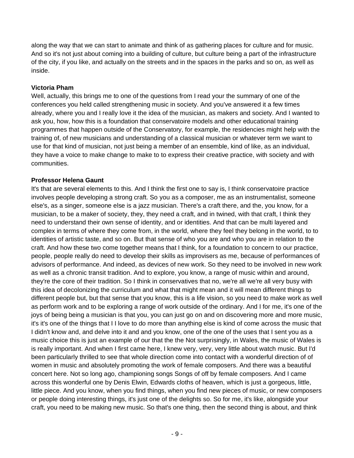along the way that we can start to animate and think of as gathering places for culture and for music. And so it's not just about coming into a building of culture, but culture being a part of the infrastructure of the city, if you like, and actually on the streets and in the spaces in the parks and so on, as well as inside.

#### **Victoria Pham**

Well, actually, this brings me to one of the questions from I read your the summary of one of the conferences you held called strengthening music in society. And you've answered it a few times already, where you and I really love it the idea of the musician, as makers and society. And I wanted to ask you, how, how this is a foundation that conservatoire models and other educational training programmes that happen outside of the Conservatory, for example, the residencies might help with the training of, of new musicians and understanding of a classical musician or whatever term we want to use for that kind of musician, not just being a member of an ensemble, kind of like, as an individual, they have a voice to make change to make to to express their creative practice, with society and with communities.

#### **Professor Helena Gaunt**

It's that are several elements to this. And I think the first one to say is, I think conservatoire practice involves people developing a strong craft. So you as a composer, me as an instrumentalist, someone else's, as a singer, someone else is a jazz musician. There's a craft there, and the, you know, for a musician, to be a maker of society, they, they need a craft, and in twined, with that craft, I think they need to understand their own sense of identity, and or identities. And that can be multi layered and complex in terms of where they come from, in the world, where they feel they belong in the world, to to identities of artistic taste, and so on. But that sense of who you are and who you are in relation to the craft. And how these two come together means that I think, for a foundation to concern to our practice, people, people really do need to develop their skills as improvisers as me, because of performances of advisors of performance. And indeed, as devices of new work. So they need to be involved in new work as well as a chronic transit tradition. And to explore, you know, a range of music within and around, they're the core of their tradition. So I think in conservatives that no, we're all we're all very busy with this idea of decolonizing the curriculum and what that might mean and it will mean different things to different people but, but that sense that you know, this is a life vision, so you need to make work as well as perform work and to be exploring a range of work outside of the ordinary. And I for me, it's one of the joys of being being a musician is that you, you can just go on and on discovering more and more music, it's it's one of the things that I I love to do more than anything else is kind of come across the music that I didn't know and, and delve into it and and you know, one of the one of the uses that I sent you as a music choice this is just an example of our that the the Not surprisingly, in Wales, the music of Wales is is really important. And when I first came here, I knew very, very, very little about watch music. But I'd been particularly thrilled to see that whole direction come into contact with a wonderful direction of of women in music and absolutely promoting the work of female composers. And there was a beautiful concert here. Not so long ago, championing songs Songs of off by female composers. And I came across this wonderful one by Denis Elwin, Edwards cloths of heaven, which is just a gorgeous, little, little piece. And you know, when you find things, when you find new pieces of music, or new composers or people doing interesting things, it's just one of the delights so. So for me, it's like, alongside your craft, you need to be making new music. So that's one thing, then the second thing is about, and think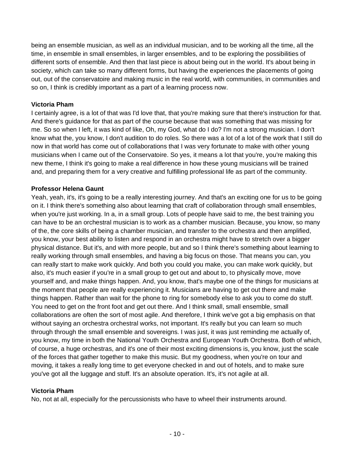being an ensemble musician, as well as an individual musician, and to be working all the time, all the time, in ensemble in small ensembles, in larger ensembles, and to be exploring the possibilities of different sorts of ensemble. And then that last piece is about being out in the world. It's about being in society, which can take so many different forms, but having the experiences the placements of going out, out of the conservatoire and making music in the real world, with communities, in communities and so on, I think is credibly important as a part of a learning process now.

#### **Victoria Pham**

I certainly agree, is a lot of that was I'd love that, that you're making sure that there's instruction for that. And there's guidance for that as part of the course because that was something that was missing for me. So so when I left, it was kind of like, Oh, my God, what do I do? I'm not a strong musician. I don't know what the, you know, I don't audition to do roles. So there was a lot of a lot of the work that I still do now in that world has come out of collaborations that I was very fortunate to make with other young musicians when I came out of the Conservatoire. So yes, it means a lot that you're, you're making this new theme, I think it's going to make a real difference in how these young musicians will be trained and, and preparing them for a very creative and fulfilling professional life as part of the community.

#### **Professor Helena Gaunt**

Yeah, yeah, it's, it's going to be a really interesting journey. And that's an exciting one for us to be going on it. I think there's something also about learning that craft of collaboration through small ensembles, when you're just working. In a, in a small group. Lots of people have said to me, the best training you can have to be an orchestral musician is to work as a chamber musician. Because, you know, so many of the, the core skills of being a chamber musician, and transfer to the orchestra and then amplified, you know, your best ability to listen and respond in an orchestra might have to stretch over a bigger physical distance. But it's, and with more people, but and so I think there's something about learning to really working through small ensembles, and having a big focus on those. That means you can, you can really start to make work quickly. And both you could you make, you can make work quickly, but also, it's much easier if you're in a small group to get out and about to, to physically move, move yourself and, and make things happen. And, you know, that's maybe one of the things for musicians at the moment that people are really experiencing it. Musicians are having to get out there and make things happen. Rather than wait for the phone to ring for somebody else to ask you to come do stuff. You need to get on the front foot and get out there. And I think small, small ensemble, small collaborations are often the sort of most agile. And therefore, I think we've got a big emphasis on that without saying an orchestra orchestral works, not important. It's really but you can learn so much through through the small ensemble and sovereigns. I was just, it was just reminding me actually of, you know, my time in both the National Youth Orchestra and European Youth Orchestra. Both of which, of course, a huge orchestras, and it's one of their most exciting dimensions is, you know, just the scale of the forces that gather together to make this music. But my goodness, when you're on tour and moving, it takes a really long time to get everyone checked in and out of hotels, and to make sure you've got all the luggage and stuff. It's an absolute operation. It's, it's not agile at all.

#### **Victoria Pham**

No, not at all, especially for the percussionists who have to wheel their instruments around.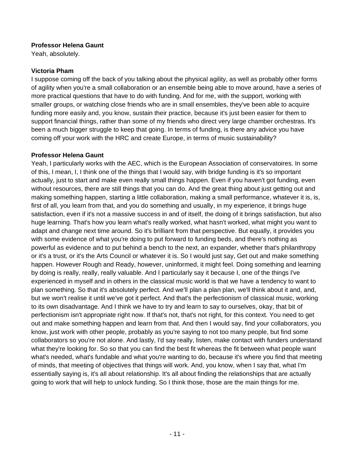#### **Professor Helena Gaunt**

Yeah, absolutely.

#### **Victoria Pham**

I suppose coming off the back of you talking about the physical agility, as well as probably other forms of agility when you're a small collaboration or an ensemble being able to move around, have a series of more practical questions that have to do with funding. And for me, with the support, working with smaller groups, or watching close friends who are in small ensembles, they've been able to acquire funding more easily and, you know, sustain their practice, because it's just been easier for them to support financial things, rather than some of my friends who direct very large chamber orchestras. It's been a much bigger struggle to keep that going. In terms of funding, is there any advice you have coming off your work with the HRC and create Europe, in terms of music sustainability?

#### **Professor Helena Gaunt**

Yeah, I particularly works with the AEC, which is the European Association of conservatoires. In some of this, I mean, I, I think one of the things that I would say, with bridge funding is it's so important actually, just to start and make even really small things happen. Even if you haven't got funding, even without resources, there are still things that you can do. And the great thing about just getting out and making something happen, starting a little collaboration, making a small performance, whatever it is, is, first of all, you learn from that, and you do something and usually, in my experience, it brings huge satisfaction, even if it's not a massive success in and of itself, the doing of it brings satisfaction, but also huge learning. That's how you learn what's really worked, what hasn't worked, what might you want to adapt and change next time around. So it's brilliant from that perspective. But equally, it provides you with some evidence of what you're doing to put forward to funding beds, and there's nothing as powerful as evidence and to put behind a bench to the next, an expander, whether that's philanthropy or it's a trust, or it's the Arts Council or whatever it is. So I would just say, Get out and make something happen. However Rough and Ready, however, uninformed, it might feel. Doing something and learning by doing is really, really, really valuable. And I particularly say it because I, one of the things I've experienced in myself and in others in the classical music world is that we have a tendency to want to plan something. So that it's absolutely perfect. And we'll plan a plan plan, we'll think about it and, and, but we won't realise it until we've got it perfect. And that's the perfectionism of classical music, working to its own disadvantage. And I think we have to try and learn to say to ourselves, okay, that bit of perfectionism isn't appropriate right now. If that's not, that's not right, for this context. You need to get out and make something happen and learn from that. And then I would say, find your collaborators, you know, just work with other people, probably as you're saying to not too many people, but find some collaborators so you're not alone. And lastly, I'd say really, listen, make contact with funders understand what they're looking for. So so that you can find the best fit whereas the fit between what people want what's needed, what's fundable and what you're wanting to do, because it's where you find that meeting of minds, that meeting of objectives that things will work. And, you know, when I say that, what I'm essentially saying is, it's all about relationship. It's all about finding the relationships that are actually going to work that will help to unlock funding. So I think those, those are the main things for me.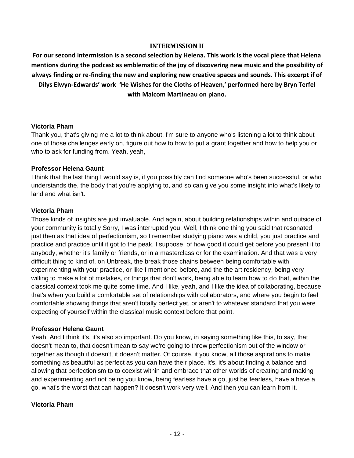#### **INTERMISSION II**

For our second intermission is a second selection by Helena. This work is the vocal piece that Helena **mentions during the podcast as emblematic of the joy of discovering new music and the possibility of always finding or re-finding the new and exploring new creative spaces and sounds. This excerpt if of Dilys Elwyn-Edwards' work 'He Wishes for the Cloths of Heaven,' performed here by Bryn Terfel with Malcom Martineau on piano.**

#### **Victoria Pham**

Thank you, that's giving me a lot to think about, I'm sure to anyone who's listening a lot to think about one of those challenges early on, figure out how to how to put a grant together and how to help you or who to ask for funding from. Yeah, yeah,

#### **Professor Helena Gaunt**

I think that the last thing I would say is, if you possibly can find someone who's been successful, or who understands the, the body that you're applying to, and so can give you some insight into what's likely to land and what isn't.

#### **Victoria Pham**

Those kinds of insights are just invaluable. And again, about building relationships within and outside of your community is totally Sorry, I was interrupted you. Well, I think one thing you said that resonated just then as that idea of perfectionism, so I remember studying piano was a child, you just practice and practice and practice until it got to the peak, I suppose, of how good it could get before you present it to anybody, whether it's family or friends, or in a masterclass or for the examination. And that was a very difficult thing to kind of, on Unbreak, the break those chains between being comfortable with experimenting with your practice, or like I mentioned before, and the the art residency, being very willing to make a lot of mistakes, or things that don't work, being able to learn how to do that, within the classical context took me quite some time. And I like, yeah, and I like the idea of collaborating, because that's when you build a comfortable set of relationships with collaborators, and where you begin to feel comfortable showing things that aren't totally perfect yet, or aren't to whatever standard that you were expecting of yourself within the classical music context before that point.

#### **Professor Helena Gaunt**

Yeah. And I think it's, it's also so important. Do you know, in saying something like this, to say, that doesn't mean to, that doesn't mean to say we're going to throw perfectionism out of the window or together as though it doesn't, it doesn't matter. Of course, it you know, all those aspirations to make something as beautiful as perfect as you can have their place. It's, it's about finding a balance and allowing that perfectionism to to coexist within and embrace that other worlds of creating and making and experimenting and not being you know, being fearless have a go, just be fearless, have a have a go, what's the worst that can happen? It doesn't work very well. And then you can learn from it.

#### **Victoria Pham**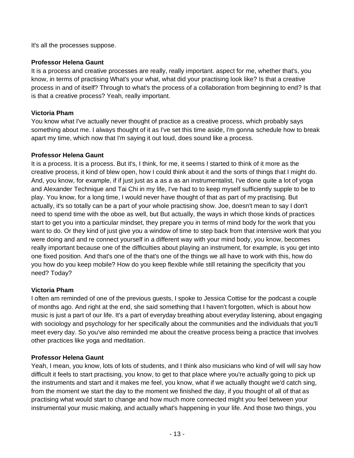It's all the processes suppose.

#### **Professor Helena Gaunt**

It is a process and creative processes are really, really important. aspect for me, whether that's, you know, in terms of practising What's your what, what did your practising look like? Is that a creative process in and of itself? Through to what's the process of a collaboration from beginning to end? Is that is that a creative process? Yeah, really important.

#### **Victoria Pham**

You know what I've actually never thought of practice as a creative process, which probably says something about me. I always thought of it as I've set this time aside, I'm gonna schedule how to break apart my time, which now that I'm saying it out loud, does sound like a process.

#### **Professor Helena Gaunt**

It is a process. It is a process. But it's, I think, for me, it seems I started to think of it more as the creative process, it kind of blew open, how I could think about it and the sorts of things that I might do. And, you know, for example, if if just just as a as a as an instrumentalist, I've done quite a lot of yoga and Alexander Technique and Tai Chi in my life, I've had to to keep myself sufficiently supple to be to play. You know, for a long time, I would never have thought of that as part of my practising. But actually, it's so totally can be a part of your whole practising show. Joe, doesn't mean to say I don't need to spend time with the oboe as well, but But actually, the ways in which those kinds of practices start to get you into a particular mindset, they prepare you in terms of mind body for the work that you want to do. Or they kind of just give you a window of time to step back from that intensive work that you were doing and and re connect yourself in a different way with your mind body, you know, becomes really important because one of the difficulties about playing an instrument, for example, is you get into one fixed position. And that's one of the that's one of the things we all have to work with this, how do you how do you keep mobile? How do you keep flexible while still retaining the specificity that you need? Today?

#### **Victoria Pham**

I often am reminded of one of the previous guests, I spoke to Jessica Cottise for the podcast a couple of months ago. And right at the end, she said something that I haven't forgotten, which is about how music is just a part of our life. It's a part of everyday breathing about everyday listening, about engaging with sociology and psychology for her specifically about the communities and the individuals that you'll meet every day. So you've also reminded me about the creative process being a practice that involves other practices like yoga and meditation.

#### **Professor Helena Gaunt**

Yeah, I mean, you know, lots of lots of students, and I think also musicians who kind of will will say how difficult it feels to start practising, you know, to get to that place where you're actually going to pick up the instruments and start and it makes me feel, you know, what if we actually thought we'd catch sing, from the moment we start the day to the moment we finished the day, if you thought of all of that as practising what would start to change and how much more connected might you feel between your instrumental your music making, and actually what's happening in your life. And those two things, you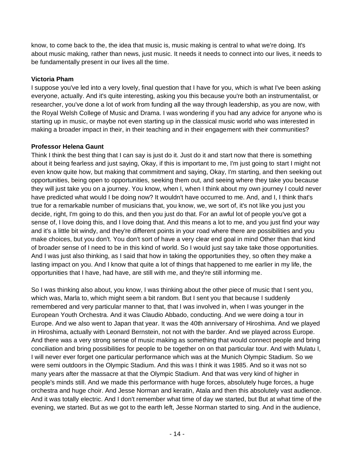know, to come back to the, the idea that music is, music making is central to what we're doing. It's about music making, rather than news, just music. It needs it needs to connect into our lives, it needs to be fundamentally present in our lives all the time.

#### **Victoria Pham**

I suppose you've led into a very lovely, final question that I have for you, which is what I've been asking everyone, actually. And it's quite interesting, asking you this because you're both an instrumentalist, or researcher, you've done a lot of work from funding all the way through leadership, as you are now, with the Royal Welsh College of Music and Drama. I was wondering if you had any advice for anyone who is starting up in music, or maybe not even starting up in the classical music world who was interested in making a broader impact in their, in their teaching and in their engagement with their communities?

## **Professor Helena Gaunt**

Think I think the best thing that I can say is just do it. Just do it and start now that there is something about it being fearless and just saying, Okay, if this is important to me, I'm just going to start I might not even know quite how, but making that commitment and saying, Okay, I'm starting, and then seeking out opportunities, being open to opportunities, seeking them out, and seeing where they take you because they will just take you on a journey. You know, when I, when I think about my own journey I could never have predicted what would I be doing now? It wouldn't have occurred to me. And, and I, I think that's true for a remarkable number of musicians that, you know, we, we sort of, it's not like you just you decide, right, I'm going to do this, and then you just do that. For an awful lot of people you've got a sense of, I love doing this, and I love doing that. And this means a lot to me, and you just find your way and it's a little bit windy, and they're different points in your road where there are possibilities and you make choices, but you don't. You don't sort of have a very clear end goal in mind Other than that kind of broader sense of I need to be in this kind of world. So I would just say take take those opportunities. And I was just also thinking, as I said that how in taking the opportunities they, so often they make a lasting impact on you. And I know that quite a lot of things that happened to me earlier in my life, the opportunities that I have, had have, are still with me, and they're still informing me.

So I was thinking also about, you know, I was thinking about the other piece of music that I sent you, which was, Marla to, which might seem a bit random. But I sent you that because I suddenly remembered and very particular manner to that, that I was involved in, when I was younger in the European Youth Orchestra. And it was Claudio Abbado, conducting. And we were doing a tour in Europe. And we also went to Japan that year. It was the 40th anniversary of Hiroshima. And we played in Hiroshima, actually with Leonard Bernstein, not not with the barder. And we played across Europe. And there was a very strong sense of music making as something that would connect people and bring conciliation and bring possibilities for people to be together on on that particular tour. And with Mulatu I, I will never ever forget one particular performance which was at the Munich Olympic Stadium. So we were semi outdoors in the Olympic Stadium. And this was I think it was 1985. And so it was not so many years after the massacre at that the Olympic Stadium. And that was very kind of higher in people's minds still. And we made this performance with huge forces, absolutely huge forces, a huge orchestra and huge choir. And Jesse Norman and keratin, Atala and then this absolutely vast audience. And it was totally electric. And I don't remember what time of day we started, but But at what time of the evening, we started. But as we got to the earth left, Jesse Norman started to sing. And in the audience,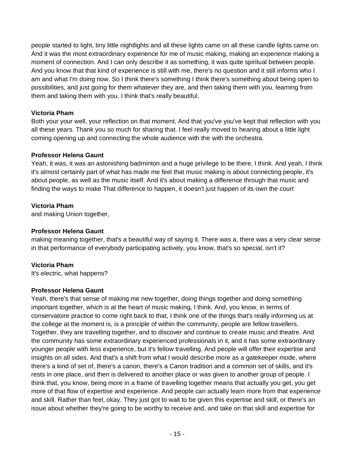people started to light, tiny little nightlights and all these lights came on all these candle lights came on. And it was the most extraordinary experience for me of music making, making an experience making a moment of connection. And I can only describe it as something, it was quite spiritual between people. And you know that that kind of experience is still with me, there's no question and it still informs who I am and what I'm doing now. So I think there's something I think there's something about being open to possibilities, and just going for them whatever they are, and then taking them with you, learning from them and taking them with you. I think that's really beautiful.

## **Victoria Pham**

Both your your well, your reflection on that moment. And that you've you've kept that reflection with you all these years. Thank you so much for sharing that. I feel really moved to hearing about a little light coming opening up and connecting the whole audience with the with the orchestra.

## **Professor Helena Gaunt**

Yeah, it was, it was an astonishing badminton and a huge privilege to be there, I think. And yeah, I think it's almost certainly part of what has made me feel that music making is about connecting people, it's about people, as well as the music itself. And it's about making a difference through that music and finding the ways to make That difference to happen, it doesn't just happen of its own the court

## **Victoria Pham**

and making Union together,

## **Professor Helena Gaunt**

making meaning together, that's a beautiful way of saying it. There was a, there was a very clear sense in that performance of everybody participating actively, you know, that's so special, isn't it?

## **Victoria Pham**

It's electric, what happens?

#### **Professor Helena Gaunt**

Yeah, there's that sense of making me new together, doing things together and doing something important together, which is at the heart of music making, I think. And, you know, in terms of conservatoire practice to come right back to that, I think one of the things that's really informing us at the college at the moment is, is a principle of within the community, people are fellow travellers. Together, they are travelling together, and to discover and continue to create music and theatre. And the community has some extraordinary experienced professionals in it, and it has some extraordinary younger people with less experience, but it's fellow travelling. And people will offer their expertise and insights on all sides. And that's a shift from what I would describe more as a gatekeeper mode, where there's a kind of set of, there's a canon, there's a Canon tradition and a common set of skills, and it's rests in one place, and then is delivered to another place or was given to another group of people. I think that, you know, being more in a frame of travelling together means that actually you get, you get more of that flow of expertise and experience. And people can actually learn more from that experience and skill. Rather than feel, okay. They just got to wait to be given this expertise and skill, or there's an issue about whether they're going to be worthy to receive and, and take on that skill and expertise for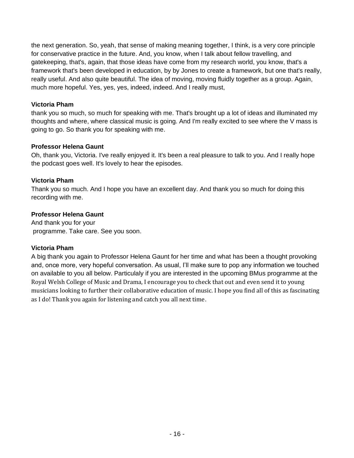the next generation. So, yeah, that sense of making meaning together, I think, is a very core principle for conservative practice in the future. And, you know, when I talk about fellow travelling, and gatekeeping, that's, again, that those ideas have come from my research world, you know, that's a framework that's been developed in education, by by Jones to create a framework, but one that's really, really useful. And also quite beautiful. The idea of moving, moving fluidly together as a group. Again, much more hopeful. Yes, yes, yes, indeed, indeed. And I really must,

#### **Victoria Pham**

thank you so much, so much for speaking with me. That's brought up a lot of ideas and illuminated my thoughts and where, where classical music is going. And I'm really excited to see where the V mass is going to go. So thank you for speaking with me.

## **Professor Helena Gaunt**

Oh, thank you, Victoria. I've really enjoyed it. It's been a real pleasure to talk to you. And I really hope the podcast goes well. It's lovely to hear the episodes.

## **Victoria Pham**

Thank you so much. And I hope you have an excellent day. And thank you so much for doing this recording with me.

## **Professor Helena Gaunt**

And thank you for your programme. Take care. See you soon.

## **Victoria Pham**

A big thank you again to Professor Helena Gaunt for her time and what has been a thought provoking and, once more, very hopeful conversation. As usual, I'll make sure to pop any information we touched on available to you all below. Particulaly if you are interested in the upcoming BMus programme at the Royal Welsh College of Music and Drama, I encourage you to check that out and even send it to young musicians looking to further their collaborative education of music. I hope you find all of this as fascinating as I do! Thank you again for listening and catch you all next time.